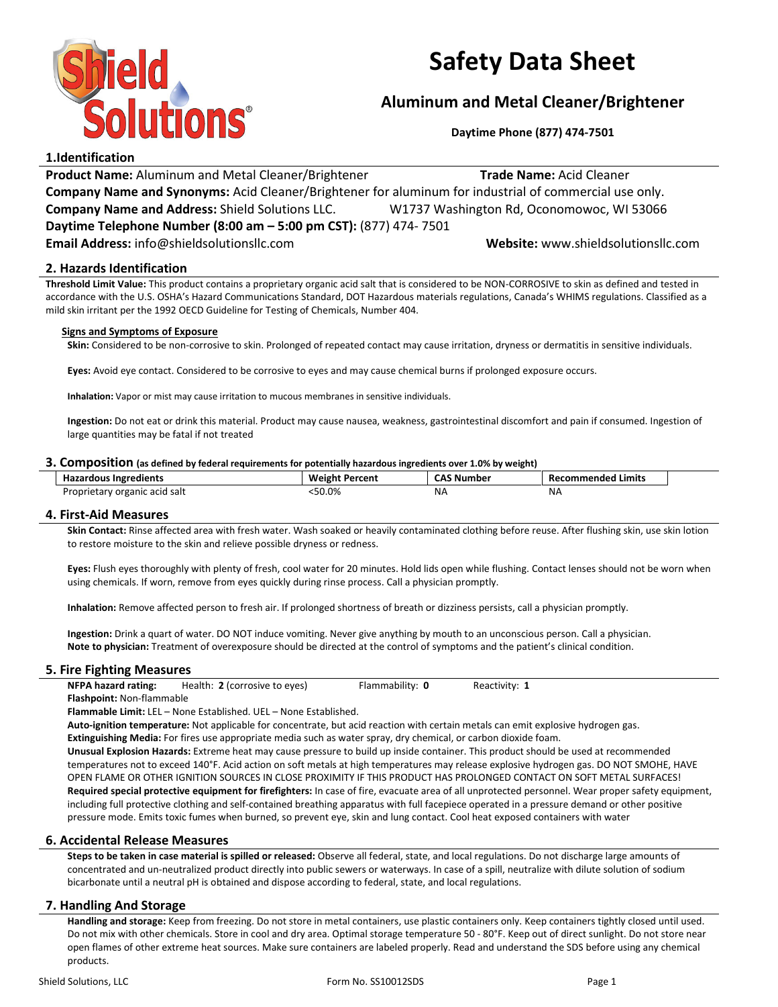

# Safety Data Sheet

# Aluminum and Metal Cleaner/Brightener

Daytime Phone (877) 474-7501

# 1.Identification

Product Name: Aluminum and Metal Cleaner/Brightener Trade Name: Acid Cleaner Company Name and Synonyms: Acid Cleaner/Brightener for aluminum for industrial of commercial use only. Company Name and Address: Shield Solutions LLC. W1737 Washington Rd, Oconomowoc, WI 53066 Daytime Telephone Number (8:00 am – 5:00 pm CST): (877) 474- 7501 Email Address: info@shieldsolutionsllc.com Website: www.shieldsolutionsllc.com

# 2. Hazards Identification

Threshold Limit Value: This product contains a proprietary organic acid salt that is considered to be NON-CORROSIVE to skin as defined and tested in accordance with the U.S. OSHA's Hazard Communications Standard, DOT Hazardous materials regulations, Canada's WHIMS regulations. Classified as a mild skin irritant per the 1992 OECD Guideline for Testing of Chemicals, Number 404.

#### Signs and Symptoms of Exposure

Skin: Considered to be non-corrosive to skin. Prolonged of repeated contact may cause irritation, dryness or dermatitis in sensitive individuals.

Eyes: Avoid eye contact. Considered to be corrosive to eyes and may cause chemical burns if prolonged exposure occurs.

Inhalation: Vapor or mist may cause irritation to mucous membranes in sensitive individuals.

Ingestion: Do not eat or drink this material. Product may cause nausea, weakness, gastrointestinal discomfort and pain if consumed. Ingestion of large quantities may be fatal if not treated

#### 3. Composition (as defined by federal requirements for potentially hazardous ingredients over 1.0% by weight)

| <b>Hazardous Ingredients</b>  | <b>Weight Percent</b> | <b>CAS Number</b> | <b>Recommended Limits</b> |
|-------------------------------|-----------------------|-------------------|---------------------------|
| Proprietary organic acid salt | 50.0%                 | ΝA                | <b>NA</b>                 |

## 4. First-Aid Measures

Skin Contact: Rinse affected area with fresh water. Wash soaked or heavily contaminated clothing before reuse. After flushing skin, use skin lotion to restore moisture to the skin and relieve possible dryness or redness.

Eyes: Flush eyes thoroughly with plenty of fresh, cool water for 20 minutes. Hold lids open while flushing. Contact lenses should not be worn when using chemicals. If worn, remove from eyes quickly during rinse process. Call a physician promptly.

Inhalation: Remove affected person to fresh air. If prolonged shortness of breath or dizziness persists, call a physician promptly.

Ingestion: Drink a quart of water. DO NOT induce vomiting. Never give anything by mouth to an unconscious person. Call a physician. Note to physician: Treatment of overexposure should be directed at the control of symptoms and the patient's clinical condition.

## 5. Fire Fighting Measures

| <b>NFPA hazard rating:</b>       | Health: 2 (corrosive to eyes) | Flammability: 0 | Reactivity: 1 |
|----------------------------------|-------------------------------|-----------------|---------------|
| <b>Flashpoint: Non-flammable</b> |                               |                 |               |

Flammable Limit: LEL – None Established. UEL – None Established.

Auto-ignition temperature: Not applicable for concentrate, but acid reaction with certain metals can emit explosive hydrogen gas.

Extinguishing Media: For fires use appropriate media such as water spray, dry chemical, or carbon dioxide foam.

Unusual Explosion Hazards: Extreme heat may cause pressure to build up inside container. This product should be used at recommended temperatures not to exceed 140°F. Acid action on soft metals at high temperatures may release explosive hydrogen gas. DO NOT SMOHE, HAVE OPEN FLAME OR OTHER IGNITION SOURCES IN CLOSE PROXIMITY IF THIS PRODUCT HAS PROLONGED CONTACT ON SOFT METAL SURFACES! Required special protective equipment for firefighters: In case of fire, evacuate area of all unprotected personnel. Wear proper safety equipment, including full protective clothing and self-contained breathing apparatus with full facepiece operated in a pressure demand or other positive pressure mode. Emits toxic fumes when burned, so prevent eye, skin and lung contact. Cool heat exposed containers with water

# 6. Accidental Release Measures

Steps to be taken in case material is spilled or released: Observe all federal, state, and local regulations. Do not discharge large amounts of concentrated and un-neutralized product directly into public sewers or waterways. In case of a spill, neutralize with dilute solution of sodium bicarbonate until a neutral pH is obtained and dispose according to federal, state, and local regulations.

## 7. Handling And Storage

Handling and storage: Keep from freezing. Do not store in metal containers, use plastic containers only. Keep containers tightly closed until used. Do not mix with other chemicals. Store in cool and dry area. Optimal storage temperature 50 - 80°F. Keep out of direct sunlight. Do not store near open flames of other extreme heat sources. Make sure containers are labeled properly. Read and understand the SDS before using any chemical products.